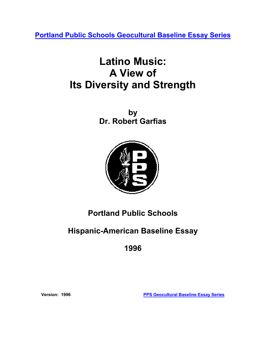**[Portland Public Schools Geocultural Baseline Essay Series](http://www.pps.k12.or.us/district/depts/mc-me/essays.shtml)**

# **Latino Music: A View of Its Diversity and Strength**

**by Dr. Robert Garfias**



## **Portland Public Schools**

## **Hispanic-American Baseline Essay**

**1996** 

**Version: 1996 [PPS Geocultural Baseline Essay Series](http://www.pps.k12.or.us/district/depts/mc-me/essays.shtml)**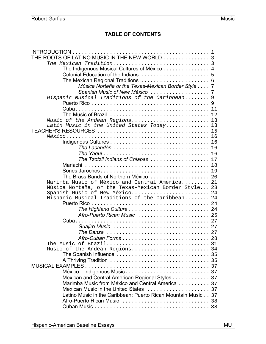## **TABLE OF CONTENTS**

| THE ROOTS OF LATINO MUSIC IN THE NEW WORLD 3                                                |  |
|---------------------------------------------------------------------------------------------|--|
|                                                                                             |  |
| The Indigenous Musical Cultures of México 4                                                 |  |
|                                                                                             |  |
|                                                                                             |  |
| Música Norteña or the Texas-Mexican Border Style 7                                          |  |
|                                                                                             |  |
| Hispanic Musical Traditions of the Caribbean 9                                              |  |
|                                                                                             |  |
|                                                                                             |  |
|                                                                                             |  |
| Music of the Andean Regions13                                                               |  |
| Latin Music in the United States Today 13                                                   |  |
|                                                                                             |  |
|                                                                                             |  |
|                                                                                             |  |
| The Lacandón $\ldots \ldots \ldots \ldots \ldots \ldots \ldots \ldots \ldots 16$            |  |
|                                                                                             |  |
| The Tzotzil Indians of Chiapas  17                                                          |  |
|                                                                                             |  |
|                                                                                             |  |
|                                                                                             |  |
| Marimba Music of México and Central America 21                                              |  |
| Música Norteña, or the Texas-Mexican Border Style 23                                        |  |
| Spanish Music of New México 24                                                              |  |
| Hispanic Musical Traditions of the Caribbean 24                                             |  |
|                                                                                             |  |
|                                                                                             |  |
| Afro-Puerto Rican Music  25                                                                 |  |
|                                                                                             |  |
|                                                                                             |  |
| The Danza $\ldots \ldots \ldots \ldots \ldots \ldots \ldots \ldots \ldots \ldots \ldots 27$ |  |
|                                                                                             |  |
| The Music of Brazil 31                                                                      |  |
| Music of the Andean Regions34                                                               |  |
|                                                                                             |  |
|                                                                                             |  |
|                                                                                             |  |
|                                                                                             |  |
| Mexican and Central American Regional Styles 37                                             |  |
| Marimba Music from México and Central America  37                                           |  |
|                                                                                             |  |
| Latino Music in the Caribbean: Puerto Rican Mountain Music 37                               |  |
|                                                                                             |  |
|                                                                                             |  |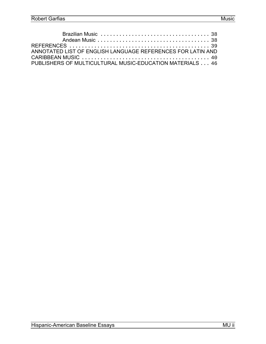| ANNOTATED LIST OF ENGLISH LANGUAGE REFERENCES FOR LATIN AND |
|-------------------------------------------------------------|
|                                                             |
| PUBLISHERS OF MULTICULTURAL MUSIC-EDUCATION MATERIALS 46    |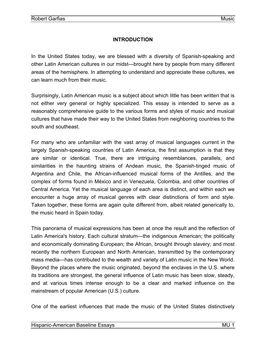## **INTRODUCTION**

<span id="page-3-0"></span>In the United States today, we are blessed with a diversity of Spanish-speaking and other Latin American cultures in our midst—brought here by people from many different areas of the hemisphere. In attempting to understand and appreciate these cultures, we can learn much from their music.

Surprisingly, Latin American music is a subject about which little has been written that is not either very general or highly specialized. This essay is intended to serve as a reasonably comprehensive guide to the various forms and styles of music and musical cultures that have made their way to the United States from neighboring countries to the south and southeast.

For many who are unfamiliar with the vast array of musical languages current in the largely Spanish-speaking countries of Latin America, the first assumption is that they are similar or identical. True, there are intriguing resemblances, parallels, and similarities in the haunting strains of Andean music, the Spanish-tinged music of Argentina and Chile, the African-influenced musical forms of the Antilles, and the complex of forms found in México and in Venezuela, Colombia, and other countries of Central America. Yet the musical language of each area is distinct, and within each we encounter a huge array of musical genres with clear distinctions of form and style. Taken together, these forms are again quite different from, albeit related generically to, the music heard in Spain today.

This panorama of musical expressions has been at once the result and the reflection of Latin America's history. Each cultural stratum—the indigenous American; the politically and economically dominating European; the African, brought through slavery; and most recently the northern European and North American, transmitted by the contemporary mass media—has contributed to the wealth and variety of Latin music in the New World. Beyond the places where the music originated, beyond the enclaves in the U.S. where its traditions are strongest, the general influence of Latin music has been slow, steady, and at various times intense enough to be a clear and marked influence on the mainstream of popular American (U.S.) culture.

One of the earliest influences that made the music of the United States distinctively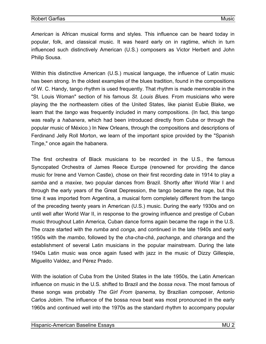*American* is African musical forms and styles. This influence can be heard today in popular, folk, and classical music. It was heard early on in ragtime, which in turn influenced such distinctively American (U.S.) composers as Victor Herbert and John Philip Sousa.

Within this distinctive American (U.S.) musical language, the influence of Latin music has been strong. In the oldest examples of the blues tradition, found in the compositions of W. C. Handy, tango rhythm is used frequently. That rhythm is made memorable in the "St. Louis Woman" section of his famous *St. Louis Blues.* From musicians who were playing the the northeastern cities of the United States, like pianist Eubie Blake, we learn that the *tango* was frequently included in many compositions. (In fact, this tango was really a *habanera*, which had been introduced directly from Cuba or through the popular music of México.) In New Orleans, through the compositions and descriptions of Ferdinand Jelly Roll Morton, we learn of the important spice provided by the "Spanish Tinge," once again the habanera.

The first orchestra of Black musicians to be recorded in the U.S., the famous Syncopated Orchestra of James Reece Europe (renowned for providing the dance music for Irene and Vernon Castle), chose on their first recording date in 1914 to play a *samba* and a *maxixe*, two popular dances from Brazil. Shortly after World War I and through the early years of the Great Depression, the tango became the rage, but this time it was imported from Argentina, a musical form completely different from the tango of the preceding twenty years in American (U.S.) music. During the early 1930s and on until well after World War II, in response to the growing influence and prestige of Cuban music throughout Latin America, Cuban dance forms again became the rage in the U.S. The craze started with the *rumba* and *conga*, and continued in the late 1940s and early 1950s with the *mambo*, followed by the *cha-cha-chá*, *pachanga*, and *charanga* and the establishment of several Latin musicians in the popular mainstream. During the late 1940s Latin music was once again fused with jazz in the music of Dizzy Gillespie, Miguelito Valdez, and Pérez Prado.

With the isolation of Cuba from the United States in the late 1950s, the Latin American influence on music in the U.S. shifted to Brazil and the *bossa nova*. The most famous of these songs was probably *The Girl From Ipanema*, by Brazilian composer, Antonio Carlos Jobim. The influence of the bossa nova beat was most pronounced in the early 1960s and continued well into the 1970s as the standard rhythm to accompany popular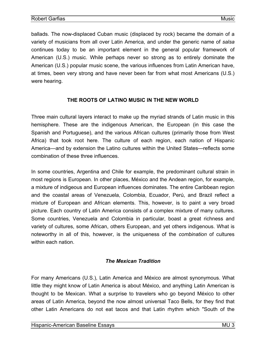<span id="page-5-0"></span>ballads. The now-displaced Cuban music (displaced by rock) became the domain of a variety of musicians from all over Latin America, and under the generic name of *salsa*  continues today to be an important element in the general popular framework of American (U.S.) music. While perhaps never so strong as to entirely dominate the American (U.S.) popular music scene, the various influences from Latin American have, at times, been very strong and have never been far from what most Americans (U.S.) were hearing.

## **THE ROOTS OF LATINO MUSIC IN THE NEW WORLD**

Three main cultural layers interact to make up the myriad strands of Latin music in this hemisphere. These are the indigenous American, the European (in this case the Spanish and Portuguese), and the various African cultures (primarily those from West Africa) that took root here. The culture of each region, each nation of Hispanic America—and by extension the Latino cultures within the United States—reflects some combination of these three influences.

In some countries, Argentina and Chile for example, the predominant cultural strain in most regions is European. In other places, México and the Andean region, for example, a mixture of indigeous and European influences dominates. The entire Caribbean region and the coastal areas of Venezuela, Colombia, Ecuador, Perú, and Brazil reflect a mixture of European and African elements. This, however, is to paint a very broad picture. Each country of Latin America consists of a complex mixture of many cultures. Some countries, Venezuela and Colombia in particular, boast a great richness and variety of cultures, some African, others European, and yet others indigenous. What is noteworthy in all of this, however, is the uniqueness of the *combination* of cultures within each nation.

## *The Mexican Tradition*

For many Americans (U.S.), Latin America and México are almost synonymous. What little they might know of Latin America is about México, and anything Latin American is thought to be Mexican. What a surprise to travelers who go beyond México to other areas of Latin America, beyond the now almost universal Taco Bells, for they find that other Latin Americans do not eat tacos and that Latin rhythm which "South of the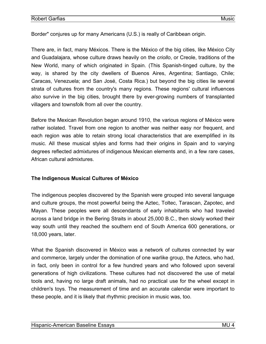<span id="page-6-0"></span>Border" conjures up for many Americans (U.S.) is really of Caribbean origin.

There are, in fact, many Méxicos. There is the México of the big cities, like México City and Guadalajara, whose culture draws heavily on the *criollo*, or Creole, traditions of the New World, many of which originated in Spain. (This Spanish-tinged culture, by the way, is shared by the city dwellers of Buenos Aires, Argentina; Santiago, Chile; Caracas, Venezuela; and San José, Costa Rica.) but beyond the big cities lie several strata of cultures from the country's many regions. These regions' cultural influences *also* survive in the big cities, brought there by ever-growing numbers of transplanted villagers and townsfolk from all over the country.

Before the Mexican Revolution began around 1910, the various regions of México were rather isolated. Travel from one region to another was neither easy nor frequent, and each region was able to retain strong local characteristics that are exemplified in its music. All these musical styles and forms had their origins in Spain and to varying degrees reflected admixtures of indigenous Mexican elements and, in a few rare cases, African cultural admixtures.

#### **The Indigenous Musical Cultures of México**

The indigenous peoples discovered by the Spanish were grouped into several language and culture groups, the most powerful being the Aztec, Toltec, Tarascan, Zapotec, and Mayan. These peoples were all descendants of early inhabitants who had traveled across a land bridge in the Bering Straits in about 25,000 B.C., then slowly worked their way south until they reached the southern end of South America 600 generations, or 18,000 years, later.

What the Spanish discovered in México was a network of cultures connected by war and commerce, largely under the domination of one warlike group, the Aztecs, who had, in fact, only been in control for a few hundred years and who followed upon several generations of high civilizations. These cultures had not discovered the use of metal tools and, having no large draft animals, had no practical use for the wheel except in children's toys. The measurement of time and an accurate calendar were important to these people, and it is likely that rhythmic precision in music was, too.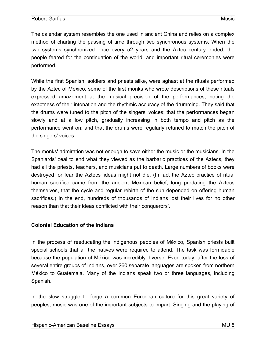<span id="page-7-0"></span>The calendar system resembles the one used in ancient China and relies on a complex method of charting the passing of time through two synchronous systems. When the two systems synchronized once every 52 years and the Aztec century ended, the people feared for the continuation of the world, and important ritual ceremonies were performed.

While the first Spanish, soldiers and priests alike, were aghast at the rituals performed by the Aztec of México, some of the first monks who wrote descriptions of these rituals expressed amazement at the musical precision of the performances, noting the exactness of their intonation and the rhythmic accuracy of the drumming. They said that the drums were tuned to the pitch of the singers' voices; that the performances began slowly and at a low pitch, gradually increasing in both tempo and pitch as the performance went on; and that the drums were regularly retuned to match the pitch of the singers' voices.

The monks' admiration was not enough to save either the music or the musicians. In the Spaniards' zeal to end what they viewed as the barbaric practices of the Aztecs, they had all the priests, teachers, and musicians put to death. Large numbers of books were destroyed for fear the Aztecs' ideas might not die. (In fact the Aztec practice of ritual human sacrifice came from the ancient Mexican belief, long predating the Aztecs themselves, that the cycle and regular rebirth of the sun depended on offering human sacrifices.) In the end, hundreds of thousands of Indians lost their lives for no other reason than that their ideas conflicted with their conquerors'.

#### **Colonial Education of the Indians**

In the process of reeducating the indigenous peoples of México, Spanish priests built special schools that all the natives were required to attend. The task was formidable because the population of México was incredibly diverse. Even today, after the loss of several entire groups of Indians, over 260 separate languages are spoken from northern México to Guatemala. Many of the Indians speak two or three languages, including Spanish.

In the slow struggle to forge a common European culture for this great variety of peoples, music was one of the important subjects to impart. Singing and the playing of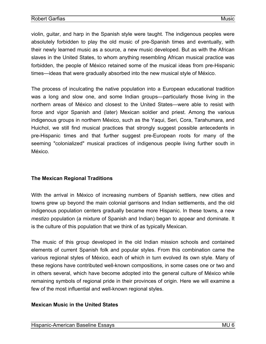<span id="page-8-0"></span>violin, guitar, and harp in the Spanish style were taught. The indigenous peoples were absolutely forbidden to play the old music of pre-Spanish times and eventually, with their newly learned music as a source, a new music developed. But as with the African slaves in the United States, to whom anything resembling African musical practice was forbidden, the people of México retained some of the musical ideas from pre-Hispanic times—ideas that were gradually absorbed into the new musical style of México.

The process of inculcating the native population into a European educational tradition was a long and slow one, and some Indian groups—particularly those living in the northern areas of México and closest to the United States—were able to resist with force and vigor Spanish and (later) Mexican soldier and priest. Among the various indigenous groups in northern México, such as the Yaqui, Seri, Cora, Tarahumara, and Huichol, we still find musical practices that strongly suggest possible antecedents in pre-Hispanic times and that further suggest pre-European roots for many of the seeming "colonialized" musical practices of indigenous people living further south in México.

## **The Mexican Regional Traditions**

With the arrival in México of increasing numbers of Spanish settlers, new cities and towns grew up beyond the main colonial garrisons and Indian settlements, and the old indigenous population centers gradually became more Hispanic. In these towns, a new *mestizo* population (a mixture of Spanish and Indian) began to appear and dominate. It is the culture of this population that we think of as typically Mexican.

The music of this group developed in the old Indian mission schools and contained elements of current Spanish folk and popular styles. From this combination came the various regional styles of México, each of which in turn evolved its own style. Many of these regions have contributed well-known compositions, in some cases one or two and in others several, which have become adopted into the general culture of México while remaining symbols of regional pride in their provinces of origin. Here we will examine a few of the most influential and well-known regional styles.

#### **Mexican Music in the United States**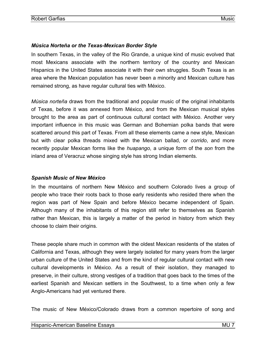## <span id="page-9-0"></span>*Música Norteña or the Texas-Mexican Border Style*

In southern Texas, in the valley of the Rio Grande, a unique kind of music evolved that most Mexicans associate with the northern territory of the country and Mexican Hispanics in the United States associate it with their own struggles. South Texas is an area where the Mexican population has never been a minority and Mexican culture has remained strong, as have regular cultural ties with México.

*Música norteña* draws from the traditional and popular music of the original inhabitants of Texas, before it was annexed from México, and from the Mexican musical styles brought to the area as part of continuous cultural contact with México. Another very important influence in this music was German and Bohemian polka bands that were scattered around this part of Texas. From all these elements came a new style, Mexican but with clear polka threads mixed with the Mexican ballad, or *corrido*, and more recently popular Mexican forms like the *huapango*, a unique form of the *son* from the inland area of Veracruz whose singing style has strong Indian elements.

## *Spanish Music of New México*

In the mountains of northern New México and southern Colorado lives a group of people who trace their roots back to those early residents who resided there when the region was part of New Spain and before México became independent of Spain. Although many of the inhabitants of this region still refer to themselves as Spanish rather than Mexican, this is largely a matter of the period in history from which they choose to claim their origins.

These people share much in common with the oldest Mexican residents of the states of California and Texas, although they were largely isolated for many years from the larger urban culture of the United States and from the kind of regular cultural contact with new cultural developments in México. As a result of their isolation, they managed to preserve, in their culture, strong vestiges of a tradition that goes back to the times of the earliest Spanish and Mexican settlers in the Southwest, to a time when only a few Anglo-Americans had yet ventured there.

The music of New México/Colorado draws from a common repertoire of song and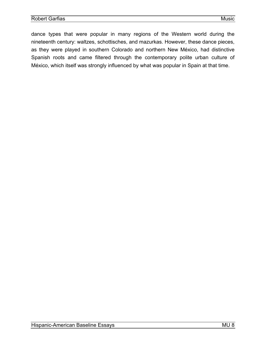dance types that were popular in many regions of the Western world during the nineteenth century: waltzes, schottisches, and mazurkas. However, these dance pieces, as they were played in southern Colorado and northern New México, had distinctive Spanish roots and came filtered through the contemporary polite urban culture of México, which itself was strongly influenced by what was popular in Spain at that time.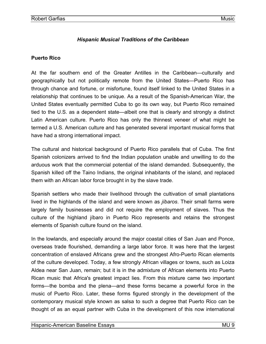## *Hispanic Musical Traditions of the Caribbean*

#### <span id="page-11-0"></span>**Puerto Rico**

At the far southern end of the Greater Antilles in the Caribbean—culturally and geographically but not politically remote from the United States—Puerto Rico has through chance and fortune, or misfortune, found itself linked to the United States in a relationship that continues to be unique. As a result of the Spanish-American War, the United States eventually permitted Cuba to go its own way, but Puerto Rico remained tied to the U.S. as a dependent state—albeit one that is clearly and strongly a distinct Latin American culture. Puerto Rico has only the thinnest veneer of what might be termed a U.S. American culture and has generated several important musical forms that have had a strong international impact.

The cultural and historical background of Puerto Rico parallels that of Cuba. The first Spanish colonizers arrived to find the Indian population unable and unwilling to do the arduous work that the commercial potential of the island demanded. Subsequently, the Spanish killed off the Taino Indians, the original inhabitants of the island, and replaced them with an African labor force brought in by the slave trade.

Spanish settlers who made their livelihood through the cultivation of small plantations lived in the highlands of the island and were known as *jíbaros*. Their small farms were largely family businesses and did not require the employment of slaves. Thus the culture of the highland jíbaro in Puerto Rico represents and retains the strongest elements of Spanish culture found on the island.

In the lowlands, and especially around the major coastal cities of San Juan and Ponce, overseas trade flourished, demanding a large labor force. It was here that the largest concentration of enslaved Africans grew and the strongest Afro-Puerto Rican elements of the culture developed. Today, a few strongly African villages or towns, such as Loiza Aldea near San Juan, remain; but it is in the admixture of African elements into Puerto Rican music that Africa's greatest impact lies. From this mixture came two important forms—the bomba and the plena—and these forms became a powerful force in the music of Puerto Rico. Later, these forms figured strongly in the development of the contemporary musical style known as salsa to such a degree that Puerto Rico can be thought of as an equal partner with Cuba in the development of this now international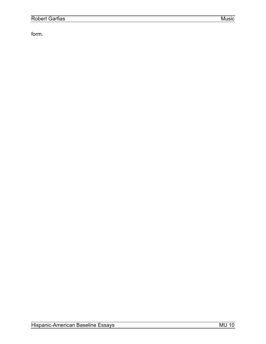form.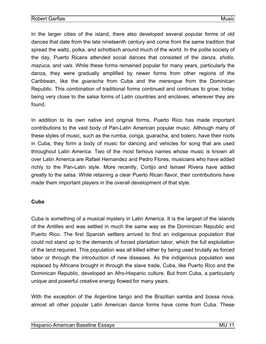<span id="page-13-0"></span>In the larger cities of the island, there also developed several popular forms of old dances that date from the late nineteenth century and come from the same tradition that spread the waltz, polka, and schottisch around much of the world. In the polite society of the day, Puerto Ricans attended social dances that consisted of the *danza*, *shotis*, *mazuca,* and *vals*. While these forms remained popular for many years, particularly the danza, they were gradually amplified by newer forms from other regions of the Caribbean, like the *guaracha* from Cuba and the *merengue* from the Dominican Republic. This combination of traditional forms continued and continues to grow, today being very close to the salsa forms of Latin countries and enclaves, wherever they are found.

In addition to its own native and original forms, Puerto Rico has made important contributions to the vast body of Pan-Latin American popular music. Although many of these styles of music, such as the rumba, conga, guaracha, and bolero, have their roots in Cuba, they form a body of music for dancing and vehicles for song that are used throughout Latin America. Two of the most famous names whose music is known all over Latin America are Rafael Hernandez and Pedro Flores, musicians who have added richly to the Pan-Latin style. More recently, Cortijo and Ismael Rivera have added greatly to the salsa. While retaining a clear Puerto Rican flavor, their contributions have made them important players in the overall development of that style.

#### **Cuba**

Cuba is something of a musical mystery in Latin America. It is the largest of the islands of the Antilles and was settled in much the same way as the Dominican Republic and Puerto Rico. The first Spanish settlers arrived to find an indigenous population that could not stand up to the demands of forced plantation labor, which the full exploitation of the land required. This population was all killed either by being used brutally as forced labor or through the introduction of new diseases. As the indigenous population was replaced by Africans brought in through the slave trade, Cuba, like Puerto Rico and the Dominican Republic, developed an Afro-Hispanic culture. But from Cuba, a particularly unique and powerful creative energy flowed for many years.

With the exception of the Argentine tango and the Brazilian samba and bossa nova, almost all other popular Latin American dance forms have come from Cuba. These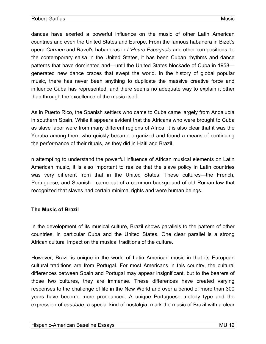<span id="page-14-0"></span>dances have exerted a powerful influence on the music of other Latin American countries and even the United States and Europe. From the famous habanera in Bizet's opera *Carmen* and Ravel's habaneras in *L'Heure Espagnole* and other compositions, to the contemporary salsa in the United States, it has been Cuban rhythms and dance patterns that have dominated and—until the United States blockade of Cuba in 1958 generated new dance crazes that swept the world. In the history of global popular music, there has never been anything to duplicate the massive creative force and influence Cuba has represented, and there seems no adequate way to explain it other than through the excellence of the music itself.

As in Puerto Rico, the Spanish settlers who came to Cuba came largely from Andalucía in southern Spain. While it appears evident that the Africans who were brought to Cuba as slave labor were from many different regions of Africa, it is also clear that it was the Yoruba among them who quickly became organized and found a means of continuing the performance of their rituals, as they did in Haiti and Brazil.

n attempting to understand the powerful influence of African musical elements on Latin American music, it is also important to realize that the slave policy in Latin countries was very different from that in the United States. These cultures—the French, Portuguese, and Spanish—came out of a common background of old Roman law that recognized that slaves had certain minimal rights and were human beings.

#### **The Music of Brazil**

In the development of its musical culture, Brazil shows parallels to the pattern of other countries, in particular Cuba and the United States. One clear parallel is a strong African cultural impact on the musical traditions of the culture.

However, Brazil is unique in the world of Latin American music in that its European cultural traditions are from Portugal. For most Americans in this country, the cultural differences between Spain and Portugal may appear insignificant, but to the bearers of those two cultures, they are immense. These differences have created varying responses to the challenge of life in the New World and over a period of more than 300 years have become more pronounced. A unique Portuguese melody type and the expression of *saudade*, a special kind of nostalgia, mark the music of Brazil with a clear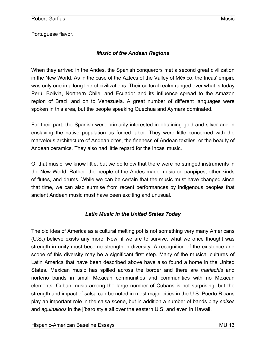<span id="page-15-0"></span>Portuguese flavor.

## *Music of the Andean Regions*

When they arrived in the Andes, the Spanish conquerors met a second great civilization in the New World. As in the case of the Aztecs of the Valley of México, the Incas' empire was only one in a long line of civilizations. Their cultural realm ranged over what is today Perú, Bolivia, Northern Chile, and Ecuador and its influence spread to the Amazon region of Brazil and on to Venezuela. A great number of different languages were spoken in this area, but the people speaking Quechua and Aymara dominated.

For their part, the Spanish were primarily interested in obtaining gold and silver and in enslaving the native population as forced labor. They were little concerned with the marvelous architecture of Andean cites, the fineness of Andean textiles, or the beauty of Andean ceramics. They also had little regard for the Incas' music.

Of that music, we know little, but we do know that there were no stringed instruments in the New World. Rather, the people of the Andes made music on panpipes, other kinds of flutes, and drums. While we can be certain that the music must have changed since that time, we can also surmise from recent performances by indigenous peoples that ancient Andean music must have been exciting and unusual.

## *Latin Music in the United States Today*

The old idea of America as a cultural melting pot is not something very many Americans (U.S.) believe exists any more. Now, if we are to survive, what we once thought was strength in unity must become strength in diversity. A recognition of the existence and scope of this diversity may be a significant first step. Many of the musical cultures of Latin America that have been described above have also found a home in the United States. Mexican music has spilled across the border and there are *mariachis* and norteño bands in small Mexican communities and communities with no Mexican elements. Cuban music among the large number of Cubans is not surprising, but the strength and impact of salsa can be noted in most major cities in the U.S. Puerto Ricans play an important role in the salsa scene, but in addition a number of bands play *seises* and *aguinaldos* in the jíbaro style all over the eastern U.S. and even in Hawaii.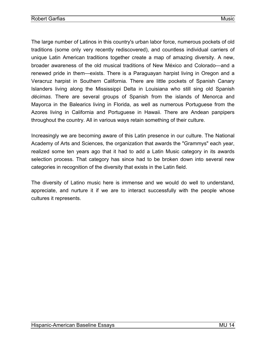The large number of Latinos in this country's urban labor force, numerous pockets of old traditions (some only very recently rediscovered), and countless individual carriers of unique Latin American traditions together create a map of amazing diversity. A new, broader awareness of the old musical traditions of New México and Colorado—and a renewed pride in them—exists. There is a Paraguayan harpist living in Oregon and a Veracruz harpist in Southern California. There are little pockets of Spanish Canary Islanders living along the Mississippi Delta in Louisiana who still sing old Spanish *décimas*. There are several groups of Spanish from the islands of Menorca and Mayorca in the Balearics living in Florida, as well as numerous Portuguese from the Azores living in California and Portuguese in Hawaii. There are Andean panpipers throughout the country. All in various ways retain something of their culture.

Increasingly we are becoming aware of this Latin presence in our culture. The National Academy of Arts and Sciences, the organization that awards the "Grammys" each year, realized some ten years ago that it had to add a Latin Music category in its awards selection process. That category has since had to be broken down into several new categories in recognition of the diversity that exists in the Latin field.

The diversity of Latino music here is immense and we would do well to understand, appreciate, and nurture it if we are to interact successfully with the people whose cultures it represents.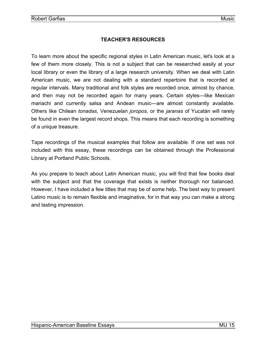## **TEACHER'S RESOURCES**

<span id="page-17-0"></span>To learn more about the specific regional styles in Latin American music, let's look at a few of them more closely. This is not a subject that can be researched easily at your local library or even the library of a large research university. When we deal with Latin American music, we are not dealing with a standard repertoire that is recorded at regular intervals. Many traditional and folk styles are recorded once, almost by chance, and then may not be recorded again for many years. Certain styles—like Mexican mariachi and currently salsa and Andean music—are almost constantly available. Others like Chilean *tonadas*, Venezuelan *joropos*, or the *jaranas* of Yucatán will rarely be found in even the largest record shops. This means that each recording is something of a unique treasure.

Tape recordings of the musical examples that follow are available. If one set was not included with this essay, these recordings can be obtained through the Professional Library at Portland Public Schools.

As you prepare to teach about Latin American music, you will find that few books deal with the subject and that the coverage that exists is neither thorough nor balanced. However, I have included a few titles that may be of some help. The best way to present Latino music is to remain flexible and imaginative, for in that way you can make a strong and lasting impression.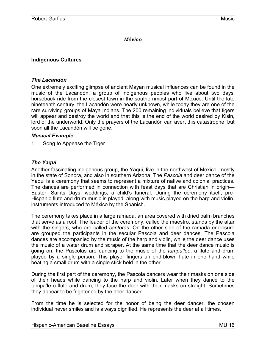#### *México*

## <span id="page-18-0"></span>**Indigenous Cultures**

#### *The Lacandón*

One extremely exciting glimpse of ancient Mayan musical influences can be found in the music of the Lacandón, a group of indigenous peoples who live about two days' horseback ride from the closest town in the southernmost part of México. Until the late nineteenth century, the Lacandón were nearly unknown, while today they are one of the rare surviving groups of Maya Indians. The 200 remaining individuals believe that tigers will appear and destroy the world and that this is the end of the world desired by Kisin, lord of the underworld. Only the prayers of the Lacandón can avert this catastrophe, but soon all the Lacandón will be gone.

#### *Musical Example*

1. Song to Appease the Tiger

## *The Yaqui*

Another fascinating indigenous group, the Yaqui, live in the northwest of México, mostly in the state of Sonora, and also in southern Arizona. The *Pascola* and deer dance of the Yaqui is a ceremony that seems to represent a mixture of native and colonial practices. The dances are performed in connection with feast days that are Christian in origin— Easter, Saints Days, weddings, a child's funeral. During the ceremony itself, pre-Hispanic flute and drum music is played, along with music played on the harp and violin, instruments introduced to México by the Spanish.

The ceremony takes place in a large ramada, an area covered with dried palm branches that serve as a roof. The leader of the ceremony, called the maestro, stands by the altar with the singers, who are called *cantora*s. On the other side of the ramada enclosure are grouped the participants in the secular Pascola and deer dances. The Pascola dances are accompanied by the music of the harp and violin, while the deer dance uses the music of a water drum and scraper. At the same time that the deer dance music is going on, the Pascolas are dancing to the music of the *tampa'leo*, a flute and drum played by a single person. This player fingers an end-blown flute in one hand while beating a small drum with a single stick held in the other.

During the first part of the ceremony, the Pascola dancers wear their masks on one side of their heads while dancing to the harp and violin. Later when they dance to the tampa'le o flute and drum, they face the deer with their masks on straight. Sometimes they appear to be frightened by the deer dancer.

From the time he is selected for the honor of being the deer dancer, the chosen individual never smiles and is always dignified. He represents the deer at all times.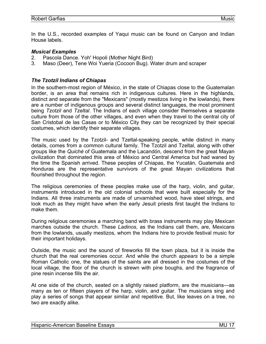<span id="page-19-0"></span>In the U.S., recorded examples of Yaqui music can be found on Canyon and Indian House labels.

#### *Musical Examples*

- 2. Pascola Dance. Yoh' Hopoli (Mother Night Bird)
- 3. Maso (Deer), Tene Woi Yueria (Cocoon Bug). Water drum and scraper

#### *The Tzotzil Indians of Chiapas*

In the southern-most region of México, in the state of Chiapas close to the Guatemalan border, is an area that remains rich in indigenous cultures. Here in the highlands, distinct and separate from the "Mexicans" (mostly mestizos living in the lowlands), there are a number of indigenous groups and several distinct languages, the most prominent being *Tzotzil* and *Tzeltal*. The Indians of each village consider themselves a separate culture from those of the other villages, and even when they travel to the central city of San Cristobal de las Casas or to México City they can be recognized by their special costumes, which identify their separate villages.

The music used by the Tzotzil- and Tzeltal-speaking people, while distinct in many details, comes from a common cultural family. The Tzotzil and Tzeltal, along with other groups like the *Quiché* of Guatemala and the Lacandón, descend from the great Mayan civilization that dominated this area of México and Central America but had waned by the time the Spanish arrived. These peoples of Chiapas, the Yucatán, Guatemala and Honduras are the representative survivors of the great Mayan civilizations that flourished throughout the region.

The religious ceremonies of these peoples make use of the harp, violin, and guitar, instruments introduced in the old colonial schools that were built especially for the Indians. All three instruments are made of unvarnished wood, have steel strings, and look much as they might have when the early Jesuit priests first taught the Indians to make them.

During religious ceremonies a marching band with brass instruments may play Mexican marches outside the church. These *Ladinos*, as the Indians call them, are, Mexicans from the lowlands, usually mestizos, whom the Indians hire to provide festival music for their important holidays.

Outside, the music and the sound of fireworks fill the town plaza, but it is inside the church that the real ceremonies occur. And while the church *appears* to be a simple Roman Catholic one, the statues of the saints are all dressed in the costumes of the local village, the floor of the church is strewn with pine boughs, and the fragrance of pine resin incense fills the air.

At one side of the church, seated on a slightly raised platform, are the musicians—as many as ten or fifteen players of the harp, violin, and guitar. The musicians sing and play a series of songs that appear similar and repetitive. But, like leaves on a tree, no two are exactly alike.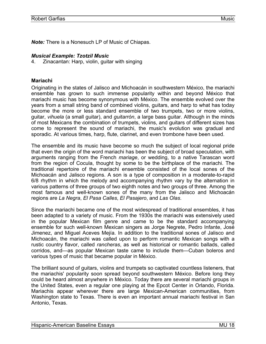<span id="page-20-0"></span>*Note:* There is a Nonesuch LP of Music of Chiapas.

#### *Musical Example: Tzotzil Music*

4. Zinacantan: Harp, violin, guitar with singing

#### **Mariachi**

Originating in the states of Jalisco and Michoacán in southwestern México, the mariachi ensemble has grown to such immense popularity within and beyond México that mariachi music has become synonymous with México. The ensemble evolved over the years from a small string band of combined violins, guitars, and harp to what has today become the more or less standard ensemble of two trumpets, two or more violins, guitar, *vihuela* (a small guitar), and *guitarrón*, a large bass guitar. Although in the minds of most Mexicans the combination of trumpets, violins, and guitars of different sizes has come to represent the sound of mariachi, the music's evolution was gradual and sporadic. At various times, harp, flute, clarinet, and even trombone have been used.

The ensemble and its music have become so much the subject of local regional pride that even the origin of the word mariachi has been the subject of broad speculation, with arguments ranging from the French *mariage*, or wedding, to a native Tarascan word from the region of Cocula, thought by some to be the birthplace of the mariachi. The traditional repertoire of the mariachi ensemble consisted of the local sones of the Michoacán and Jalisco regions. A son is a type of composition in a moderate-to-rapid 6/8 rhythm in which the melody and accompanying rhythm vary by the alternation in various patterns of three groups of two eighth notes and two groups of three. Among the most famous and well-known sones of the many from the Jalisco and Michoacán regions are *La Negra*, *El Pasa Calles*, *El Pasajero*, and *Las Olas*.

Since the mariachi became one of the most widespread of traditional ensembles, it has been adapted to a variety of music. From the 1930s the mariachi was extensively used in the popular Mexican film genre and came to be the standard accompanying ensemble for such well-known Mexican singers as Jorge Negrete, Pedro Infante, José Jimenez, and Miguel Aceves Mejía. In addition to the traditional sones of Jalisco and Michoacán, the mariachi was called upon to perform romantic Mexican songs with a rustic country flavor, called *rancheras*, as well as historical or romantic ballads, called corridos, and—as popular Mexican taste came to include them—Cuban boleros and various types of music that became popular in México.

The brilliant sound of guitars, violins and trumpets so captivated countless listeners, that the mariachis' popularity soon spread beyond southwestern México. Before long they could be heard almost anywhere in México. Today there are several mariachi groups in the United States, even a regular one playing at the Epcot Center in Orlando, Florida. Mariachis appear wherever there are large Mexican-American communities, from Washington state to Texas. There is even an important annual mariachi festival in San Antonio, Texas.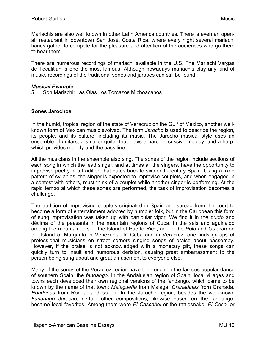<span id="page-21-0"></span>Mariachis are also well known in other Latin America countries. There is even an openair restaurant in downtown San José, Costa Rica, where every night several mariachi bands gather to compete for the pleasure and attention of the audiences who go there to hear them.

There are numerous recordings of mariachi available in the U.S. The Mariachi Vargas de Tecalitlán is one the most famous. Although nowadays mariachis play any kind of music, recordings of the traditional sones and jarabes can still be found.

#### *Musical Example*

5. Son Mariachi: Las Olas Los Torcazos Michoacanos

#### **Sones Jarochos**

In the humid, tropical region of the state of Veracruz on the Gulf of México, another wellknown form of Mexican music evolved. The term *Jarocho* is used to describe the region, its people, and its culture, including its music. The Jarocho musical style uses an ensemble of guitars, a smaller guitar that plays a hard percussive melody, and a harp, which provides melody and the bass line.

All the musicians in the ensemble also sing. The sones of the region include sections of each song in which the lead singer, and at times all the singers, have the opportunity to improvise poetry in a tradition that dates back to sixteenth-century Spain. Using a fixed pattern of syllables, the singer is expected to improvise couplets, and when engaged in a contest with others, must think of a couplet while another singer is performing. At the rapid tempo at which these sones are performed, the task of improvisation becomes a challenge.

The tradition of improvising couplets originated in Spain and spread from the court to become a form of entertainment adopted by humbler folk, but in the Caribbean this form of sung improvisation was taken up with particular vigor. We find it in the *punto* and décima of the peasants in the mountain regions of Cuba, in the seis and aguinaldo among the mountaineers of the Island of Puerto Rico, and in the *Polo* and *Galerón* on the Island of Margarita in Venezuela. In Cuba and in Veracruz, one finds groups of professional musicians on street corners singing songs of praise about passersby. However, if the praise is not acknowledged with a monetary gift, these songs can quickly turn to insult and humorous derision, causing great embarrassment to the person being sung about and great amusement to everyone else.

Many of the sones of the Veracruz region have their origin in the famous popular dance of southern Spain, the *fandango*. In the Andalusian region of Spain, local villages and towns each developed their own regional versions of the fandango, which came to be known by the name of that town: *Malagueña* from Málaga, *Granadinas* from Granada, *Rondeñas* from Ronda, and so on. In the Jarocho region, besides the well-known *Fandango Jarocho*, certain other compositions, likewise based on the fandango, became local favorites. Among them were *El Cascabel* or the rattlesnake, *El Coco*, or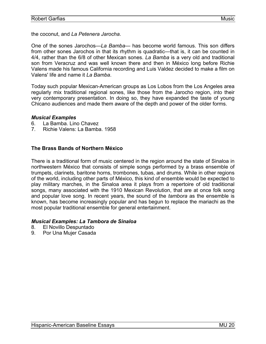<span id="page-22-0"></span>the coconut, and *La Petenera Jarocha*.

One of the sones Jarochos—*La Bamba*— has become world famous. This son differs from other sones Jarochos in that its rhythm is quadratic—that is, it can be counted in 4/4, rather than the 6/8 of other Mexican sones. *La Bamba* is a very old and traditional son from Veracruz and was well known there and then in México long before Richie Valens made his famous California recording and Luis Valdez decided to make a film on Valens' life and name it *La Bamba*.

Today such popular Mexican-American groups as Los Lobos from the Los Angeles area regularly mix traditional regional sones, like those from the Jarocho region, into their very contemporary presentation. In doing so, they have expanded the taste of young Chicano audiences and made them aware of the depth and power of the older forms.

#### *Musical Examples*

- 6. La Bamba. Lino Chavez
- 7. Richie Valens: La Bamba. 1958

#### **The Brass Bands of Northern México**

There is a traditional form of music centered in the region around the state of Sinaloa in northwestern México that consists of simple songs performed by a brass ensemble of trumpets, clarinets, baritone horns, trombones, tubas, and drums. While in other regions of the world, including other parts of México, this kind of ensemble would be expected to play military marches, in the Sinaloa area it plays from a repertoire of old traditional songs, many associated with the 1910 Mexican Revolution, that are at once folk song and popular love song. In recent years, the sound of the *tambora* as the ensemble is known, has become increasingly popular and has begun to replace the mariachi as the most popular traditional ensemble for general entertainment.

#### *Musical Examples: La Tambora de Sinaloa*

- 8. El Novillo Despuntado
- 9. Por Una Mujer Casada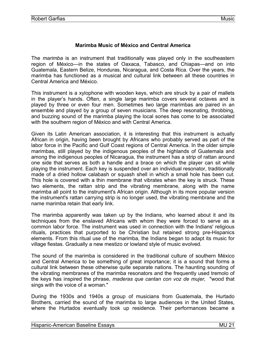## **Marimba Music of México and Central America**

<span id="page-23-0"></span>The *marimba* is an instrument that traditionally was played only in the southeastern region of México—in the states of Oaxaca, Tabasco, and Chiapas—and on into Guatemala, Eastern Belize, Honduras, Nicaragua, and Costa Rica. Over the years, the marimba has functioned as a musical and cultural link between all these countries in Central America and México.

This instrument is a xylophone with wooden keys, which are struck by a pair of mallets in the player's hands. Often, a single large marimba covers several octaves and is played by three or even four men. Sometimes two large marimbas are paired in an ensemble and played by a group of seven musicians. The deep resonating, throbbing, and buzzing sound of the marimba playing the local sones has come to be associated with the southern region of México and with Central America.

Given its Latin American association, it is interesting that this instrument is actually African in origin, having been brought by Africans who probably served as part of the labor force in the Pacific and Gulf Coast regions of Central America. In the older simple marimbas, still played by the indigenous peoples of the highlands of Guatemala and among the indigenous peoples of Nicaragua, the instrument has a strip of rattan around one side that serves as both a handle and a brace on which the player can sit while playing the instrument. Each key is suspended over an individual resonator, traditionally made of a dried hollow calabash or squash shell in which a small hole has been cut. This hole is covered with a thin membrane that vibrates when the key is struck. These two elements, the rattan strip and the vibrating membrane, along with the name marimba all point to the instrument's African origin. Although in its more popular version the instrument's rattan carrying strip is no longer used, the vibrating membrane and the name marimba retain that early link.

The marimba apparently was taken up by the Indians, who learned about it and its techniques from the enslaved Africans with whom they were forced to serve as a common labor force. The instrument was used in connection with the Indians' religious rituals, practices that purported to be Christian but retained strong pre-Hispanics elements. From this ritual use of the marimba, the Indians began to adapt its music for village fiestas. Gradually a new mestizo or lowland style of music evolved.

The sound of the marimba is considered in the traditional culture of southern México and Central America to be something of great importance; it is a sound that forms a cultural link between these otherwise quite separate nations. The haunting sounding of the vibrating membranes of the marimba resonators and the frequently used tremolo of the keys has inspired the phrase, *maderas que cantan con voz de mujer,* "wood that sings with the voice of a woman."

During the 1930s and 1940s a group of musicians from Guatemala, the Hurtado Brothers, carried the sound of the marimba to large audiences in the United States, where the Hurtados eventually took up residence. Their performances became a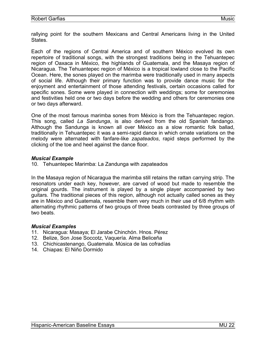rallying point for the southern Mexicans and Central Americans living in the United States.

Each of the regions of Central America and of southern México evolved its own repertoire of traditional songs, with the strongest traditions being in the Tehuantepec region of Oaxaca in México, the highlands of Guatemala, and the Masaya region of Nicaragua. The Tehuantepec region of México is a tropical lowland close to the Pacific Ocean. Here, the sones played on the marimba were traditionally used in many aspects of social life. Although their primary function was to provide dance music for the enjoyment and entertainment of those attending festivals, certain occasions called for specific sones. Some were played in connection with weddings; some for ceremonies and festivities held one or two days before the wedding and others for ceremonies one or two days afterward.

One of the most famous marimba sones from México is from the Tehuantepec region. This song, called *La Sandunga*, is also derived from the old Spanish fandango. Although the Sandunga is known all over México as a slow romantic folk ballad, traditionally in Tehuantepec it was a semi-rapid dance in which ornate variations on the melody were alternated with fanfare-like *zapateados*, rapid steps performed by the clicking of the toe and heel against the dance floor.

#### *Musical Example*

10. Tehuantepec Marimba: La Zandunga with zapateados

In the Masaya region of Nicaragua the marimba still retains the rattan carrying strip. The resonators under each key, however, are carved of wood but made to resemble the original gourds. The instrument is played by a single player accompanied by two guitars. The traditional pieces of this region, although not actually called sones as they are in México and Guatemala, resemble them very much in their use of 6/8 rhythm with alternating rhythmic patterns of two groups of three beats contrasted by three groups of two beats.

#### *Musical Examples*

- 11. Nicaragua: Masaya; El Jarabe Chinchón. Hnos. Pérez
- 12. Belize, Son Jose Soccotz, Vaquería. Alma Beliceña
- 13. Chichicastenango, Guatemala. Música de las cofradías
- 14. Chiapas: El Niño Dormido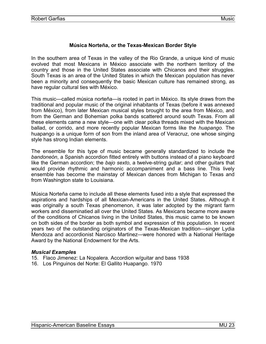## **Música Norteña, or the Texas-Mexican Border Style**

<span id="page-25-0"></span>In the southern area of Texas in the valley of the Rio Grande, a unique kind of music evolved that most Mexicans in México associate with the northern territory of the country and those in the United States associate with Chicanos and their struggles. South Texas is an area of the United States in which the Mexican population has never been a minority and consequently the basic Mexican culture has remained strong, as have regular cultural ties with México.

This music—called música norteña—is rooted in part in México. Its style draws from the traditional and popular music of the original inhabitants of Texas (before it was annexed from México), from later Mexican musical styles brought to the area from México, and from the German and Bohemian polka bands scattered around south Texas. From all these elements came a new style—one with clear polka threads mixed with the Mexican ballad, or corrido, and more recently popular Mexican forms like the *huapango*. The huapango is a unique form of son from the inland area of Veracruz, one whose singing style has strong Indian elements.

The ensemble for this type of music became generally standardized to include the *bandoneón*, a Spanish accordion fitted entirely with buttons instead of a piano keyboard like the German accordion; the *bajo sexto*, a twelve-string guitar; and other guitars that would provide rhythmic and harmonic accompaniment and a bass line. This lively ensemble has become the mainstay of Mexican dances from Michigan to Texas and from Washington state to Louisiana.

Música Norteña came to include all these elements fused into a style that expressed the aspirations and hardships of all Mexican-Americans in the United States. Although it was originally a south Texas phenomenon, it was later adopted by the migrant farm workers and disseminatied all over the United States. As Mexicans became more aware of the conditions of Chicanos living in the United States, this music came to be known on both sides of the border as both symbol and expression of this population. In recent years two of the outstanding originators of the Texas-Mexican tradition—singer Lydia Mendoza and accordionist Narcisco Martinez—were honored with a National Heritage Award by the National Endowment for the Arts.

#### *Musical Examples*

- 15. Flaco Jimenez: La Nopalera. Accordion w/guitar and bass 1938
- 16. Los Pinguinos del Norte: El Gallito Huapango. 1970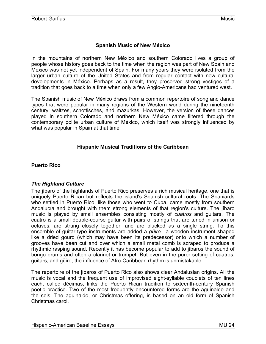## **Spanish Music of New México**

<span id="page-26-0"></span>In the mountains of northern New México and southern Colorado lives a group of people whose history goes back to the time when the region was part of New Spain and México was not yet independent of Spain. For many years they were isolated from the larger urban culture of the United States and from regular contact with new cultural developments in México. Perhaps as a result, they preserved strong vestiges of a tradition that goes back to a time when only a few Anglo-Americans had ventured west.

The Spanish music of New México draws from a common repertoire of song and dance types that were popular in many regions of the Western world during the nineteenth century: waltzes, schottisches, and mazurkas. However, the version of these dances played in southern Colorado and northern New México came filtered through the contemporary polite urban culture of México, which itself was strongly influenced by what was popular in Spain at that time.

#### **Hispanic Musical Traditions of the Caribbean**

**Puerto Rico** 

#### *The Highland Culture*

The jíbaro of the highlands of Puerto Rico preserves a rich musical heritage, one that is uniquely Puerto Rican but reflects the island's Spanish cultural roots. The Spaniards who settled in Puerto Rico, like those who went to Cuba, came mostly from southern Andalucía and brought with them strong elements of that region's culture. The jíbaro music is played by small ensembles consisting mostly of *cuatros* and guitars. The cuatro is a small double-course guitar with pairs of strings that are tuned in unison or octaves, are strung closely together, and are plucked as a single string. To this ensemble of guitar-type instruments are added a *güiro*—a wooden instrument shaped like a dried gourd (which may have been its predecessor) onto which a number of grooves have been cut and over which a small metal comb is scraped to produce a rhythmic rasping sound. Recently it has become popular to add to jíbaros the sound of bongo drums and often a clarinet or trumpet. But even in the purer setting of cuatros, guitars, and güiro, the influence of Afro-Caribbean rhythm is unmistakable.

The repertoire of the jíbaros of Puerto Rico also shows clear Andalusian origins. All the music is vocal and the frequent use of improvised eight-syllable couplets of ten lines each, called décimas, links the Puerto Rican tradition to sixteenth-century Spanish poetic practice. Two of the most frequently encountered forms are the aguinaldo and the seis. The aguinaldo, or Christmas offering, is based on an old form of Spanish Christmas carol.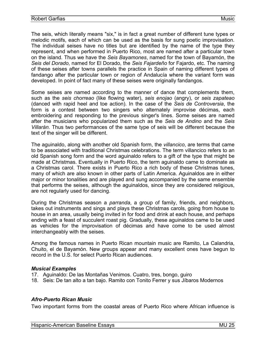<span id="page-27-0"></span>The seis, which literally means "six," is in fact a great number of different tune types or melodic motifs, each of which can be used as the basis for sung poetic improvisation. The individual seises have no titles but are identified by the name of the type they represent, and when performed in Puerto Rico, most are named after a particular town on the island. Thus we have the *Seis Bayamones*, named for the town of Bayamón, the *Seis del Dorado*, named for El Dorado, the *Seis Fajardeño* for Fajardo, etc. The naming of these seises after towns parallels the practice in Spain of naming different types of fandango after the particular town or region of Andalucía where the variant form was developed. In point of fact many of these seises were originally fandangos.

Some seises are named according to the manner of dance that complements them, such as the *seis chorreao* (like flowing water), *seis enojao* (angry), or *seis zapateao* (danced with rapid heel and toe action). In the case of the *Seis de Controversia*, the form is a contest between two singers who alternately improvise décimas, each embroidering and responding to the previous singer's lines. Some seises are named after the musicians who popularized them such as the *Seis de Andino* and the *Seis Villarán*. Thus two performances of the same type of seis will be different because the text of the singer will be different.

The aguinaldo, along with another old Spanish form, the *villancico*, are terms that came to be associated with traditional Christmas celebrations. The term villancico refers to an old Spanish song form and the word aguinaldo refers to a gift of the type that might be made at Christmas. Eventually in Puerto Rico, the term aguinaldo came to dominate as a Christmas carol. There exists in Puerto Rico a rich body of these Christmas tunes, many of which are also known in other parts of Latin America. Aguinaldos are in either major or minor tonalities and are played and sung accompanied by the same ensemble that performs the seises, although the aguinaldos, since they are considered religious, are not regularly used for dancing.

During the Christmas season a *parranda*, a group of family, friends, and neighbors, takes out instruments and sings and plays these Christmas carols, going from house to house in an area, usually being invited in for food and drink at each house, and perhaps ending with a feast of succulent roast pig. Gradually, these aguinaldos came to be used as vehicles for the improvisation of décimas and have come to be used almost interchangeably with the seises.

Among the famous names in Puerto Rican mountain music are Ramito, La Calandria, Chuito, el de Bayamón. New groups appear and many excellent ones have begun to record in the U.S. for select Puerto Rican audiences.

#### *Musical Examples*

- 17. Aguinaldo: De las Montañas Venimos. Cuatro, tres, bongo, guiro
- 18. Seis: De tan alto a tan bajo. Ramito con Tonito Ferrer y sus Jíbaros Modernos

#### *Afro-Puerto Rican Music*

Two important forms from the coastal areas of Puerto Rico where African influence is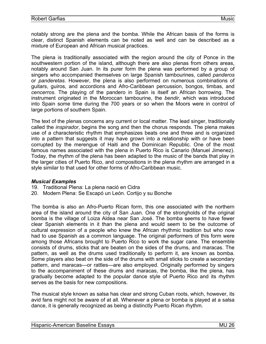notably strong are the plena and the bomba. While the African basis of the forms is clear, distinct Spanish elements can be noted as well and can be described as a mixture of European and African musical practices.

The plena is traditionally associated with the region around the city of Ponce in the southwestern portion of the island, although there are also plenas from others areas, notably around San Juan. In its purer form the plena was performed by a group of singers who accompanied themselves on large Spanish tambourines, called *panderos* or *panderetas*. However, the plena is also performed on numerous combinations of guitars, guiros, and accordions and Afro-Caribbean percussion, bongos, timbas, and *cencerros*. The playing of the pandero in Spain is itself an African borrowing. The instrument originated in the Moroccan tambourine, the *bendir*, which was introduced into Spain some time during the 700 years or so when the Moors were in control of large portions of southern Spain.

The text of the plenas concerns any current or local matter. The lead singer, traditionally called the *inspirador*, begins the song and then the chorus responds. The plena makes use of a characteristic rhythm that emphasizes beats one and three and is organized into a pattern that suggests it may have grown into a relationship with or have been corrupted by the merengue of Haiti and the Dominican Republic. One of the most famous names associated with the plena in Puerto Rico is Canario (Manuel Jimenez). Today, the rhythm of the plena has been adapted to the music of the bands that play in the larger cities of Puerto Rico, and compositions in the plena rhythm are arranged in a style similar to that used for other forms of Afro-Caribbean music.

#### *Musical Examples*

- 19. Traditional Plena: La plena nació en Cidra
- 20. Modern Plena: Se Escapó un León. Cortijo y su Bonche

The bomba is also an Afro-Puerto Rican form, this one associated with the northern area of the island around the city of San Juan. One of the strongholds of the original bomba is the village of Loiza Aldea near San José. The bomba seems to have fewer clear Spanish elements in it than the plena and would seem to be the outcome of cultural expression of a people who knew the African rhythmic tradition but who now had to use Spanish as a common language. The original performers of this form were among those Africans brought to Puerto Rico to work the sugar cane. The ensemble consists of drums, sticks that are beaten on the sides of the drums, and maracas. The pattern, as well as the drums used traditionally to perform it, are known as bomba. Some players also beat on the side of the drums with small sticks to create a secondary pattern, and maracas—or rattles—are also employed. Originally performed by singers to the accompaniment of these drums and maracas, the bomba, like the plena, has gradually become adapted to the popular dance style of Puerto Rico and its rhythm serves as the basis for new compositions.

The musical style known as salsa has clear and strong Cuban roots, which, however, its avid fans might not be aware of at all. Whenever a plena or bomba is played at a salsa dance, it is generally recognized as being a distinctly Puerto Rican rhythm.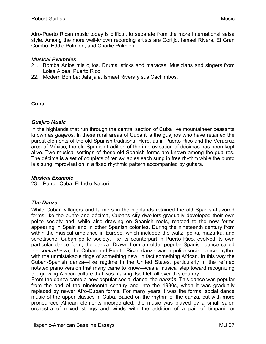<span id="page-29-0"></span>Afro-Puerto Rican music today is difficult to separate from the more international salsa style. Among the more well-known recording artists are Cortijo, Ismael Rivera, El Gran Combo, Eddie Palmieri, and Charlie Palmieri.

#### *Musical Examples*

- 21. Bomba Adios mis ojitos. Drums, sticks and maracas. Musicians and singers from Loisa Aldea, Puerto Rico
- 22. Modern Bomba: Jala jala. Ismael Rivera y sus Cachimbos.

#### **Cuba**

#### *Guajiro Music*

In the highlands that run through the central section of Cuba live mountaineer peasants known as *guajiros*. In these rural areas of Cuba it is the guajiros who have retained the purest elements of the old Spanish traditions. Here, as in Puerto Rico and the Veracruz area of México, the old Spanish tradition of the improvisation of décimas has been kept alive. Two musical settings of these old Spanish forms are known among the guajiros. The décima is a set of couplets of ten syllables each sung in free rhythm while the punto is a sung improvisation in a fixed rhythmic pattern accompanied by guitars.

#### *Musical Example*

23. Punto: Cuba. El Indio Nabori

#### *The Danza*

While Cuban villagers and farmers in the highlands retained the old Spanish-flavored forms like the punto and décima, Cubans city dwellers gradually developed their own polite society and, while also drawing on Spanish roots, reacted to the new forms appearing in Spain and in other Spanish colonies. During the nineteenth century from within the musical ambiance in Europe, which included the waltz, polka, mazurka, and schottische, Cuban polite society, like its counterpart in Puerto Rico, evolved its own particular dance form, the danza. Drawn from an older popular Spanish dance called the *contradanza*, the Cuban and Puerto Rican danza was a polite social dance rhythm with the unmistakable tinge of something new, in fact something African. In this way the Cuban-Spanish danza—like ragtime in the United States, particularly in the refined notated piano version that many came to know—was a musical step toward recognizing the growing African culture that was making itself felt all over this country.

From the danza came a new popular social dance, the *danzón*. This dance was popular from the end of the nineteenth century and into the 1930s, when it was gradually replaced by newer Afro-Cuban forms. For many years it was the formal social dance music of the upper classes in Cuba. Based on the rhythm of the danza, but with more pronounced African elements incorporated, the music was played by a small salon orchestra of mixed strings and winds with the addition of a pair of timpani, or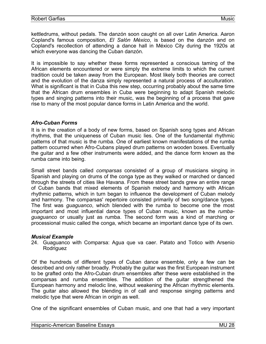<span id="page-30-0"></span>kettledrums, without pedals. The danzón soon caught on all over Latin America. Aaron Copland's famous composition, *El Salón México*, is based on the danzón and on Copland's recollection of attending a dance hall in México City during the 1920s at which everyone was dancing the Cuban danzón.

It is impossible to say whether these forms represented a conscious taming of the African elements encountered or were simply the extreme limits to which the current tradition could be taken away from the European. Most likely both theories are correct and the evolution of the danza simply represented a natural process of acculturation. What is significant is that in Cuba this new step, occurring probably about the same time that the African drum ensembles in Cuba were beginning to adapt Spanish melodic types and singing patterns into their music, was the beginning of a process that gave rise to many of the most popular dance forms in Latin America and the world.

#### *Afro-Cuban Forms*

It is in the creation of a body of new forms, based on Spanish song types and African rhythms, that the uniqueness of Cuban music lies. One of the fundamental rhythmic patterns of that music is the rumba. One of earliest known manifestations of the rumba pattern occurred when Afro-Cubans played drum patterns on wooden boxes. Eventually the guitar and a few other instruments were added, and the dance form known as the rumba came into being.

Small street bands called *comparsas* consisted of a group of musicians singing in Spanish and playing on drums of the conga type as they walked or marched or danced through the streets of cities like Havana. From these street bands grew an entire range of Cuban bands that mixed elements of Spanish melody and harmony with African rhythmic patterns, which in turn began to influence the development of Cuban melody and harmony. The comparsas' repertoire consisted primarily of two song/dance types. The first was *guaguanco*, which blended with the rumba to become one the most important and most influential dance types of Cuban music, known as the *rumbaguaguanco* or usually just as rumba. The second form was a kind of marching or processional music called the conga, which became an important dance type of its own.

#### *Musical Example*

24. Guaguanco with Comparsa: Agua que va caer. Patato and Totico with Arsenio Rodriguez

Of the hundreds of different types of Cuban dance ensemble, only a few can be described and only rather broadly. Probably the guitar was the first European instrument to be grafted onto the Afro-Cuban drum ensembles after these were established in the comparsas and rumba ensembles. The addition of the guitar strengthened the European harmony and melodic line, without weakening the African rhythmic elements. The guitar also allowed the blending in of call and response singing patterns and melodic type that were African in origin as well.

One of the significant ensembles of Cuban music, and one that had a very important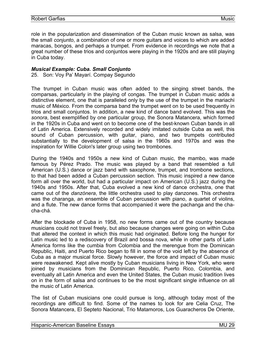role in the popularization and dissemination of the Cuban music known as salsa, was the small *conjunto*, a combination of one or more guitars and voices to which are added maracas, bongos, and perhaps a trumpet. From evidence in recordings we note that a great number of these trios and conjuntos were playing in the 1920s and are still playing in Cuba today.

#### *Musical Example: Cuba. Small Conjunto*

25. Son: Voy Pa' Mayarí. Compay Segundo

The trumpet in Cuban music was often added to the singing street bands, the comparsas, particularly in the playing of congas. The trumpet in Cuban music adds a distinctive element, one that is paralleled only by the use of the trumpet in the mariachi music of México. From the comparsa band the trumpet went on to be used frequently in trios and small conjuntos. In addition, a new kind of dance band evolved. This was the *sonora*, best exemplified by one particular group, the Sonora Matancera, which formed in the 1920s in Cuba and went on to become one of the best-known Cuban bands in all of Latin America. Extensively recorded and widely imitated outside Cuba as well, this sound of Cuban percussion, with guitar, piano, and two trumpets contributed substantially to the development of salsa in the 1960s and 1970s and was the inspiration for Willie Colon's later group using two trombones.

During the 1940s and 1950s a new kind of Cuban music, the mambo, was made famous by Pérez Prado. The music was played by a band that resembled a full American (U.S.) dance or jazz band with saxophone, trumpet, and trombone sections, to that had been added a Cuban percussion section. This music inspired a new dance form all over the world, but had a particular impact on American (U.S.) jazz during the 1940s and 1950s. After that, Cuba evolved a new kind of dance orchestra, one that came out of the *danzónera*, the little orchestra used to play danzones. This orchestra was the charanga, an ensemble of Cuban percussion with piano, a quartet of violins, and a flute. The new dance forms that accompanied it were the pachanga and the chacha-chá.

After the blockade of Cuba in 1958, no new forms came out of the country because musicians could not travel freely, but also because changes were going on within Cuba that altered the context in which this music had originated. Before long the hunger for Latin music led to a rediscovery of Brazil and bossa nova, while in other parts of Latin America forms like the cumbia from Colombia and the merengue from the Dominican Republic, Haiti, and Puerto Rico began to fill in some of the void left by the absence of Cuba as a major musical force. Slowly however, the force and impact of Cuban music were reawakened. Kept alive mostly by Cuban musicians living in New York, who were joined by musicians from the Dominican Republic, Puerto Rico, Colombia, and eventually all Latin America and even the United States, the Cuban music tradition lives on in the form of salsa and continues to be the most significant single influence on all the music of Latin America.

The list of Cuban musicians one could pursue is long, although today most of the recordings are difficult to find. Some of the names to look for are Celia Cruz, The Sonora Matancera, El Septeto Nacional, Trio Matamoros, Los Guaracheros De Oriente,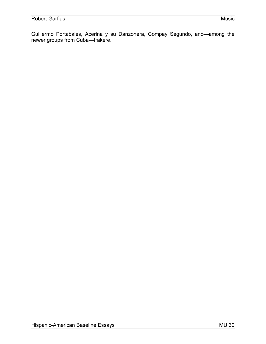Guillermo Portabales, Acerina y su Danzonera, Compay Segundo, and—among the newer groups from Cuba—Irakere.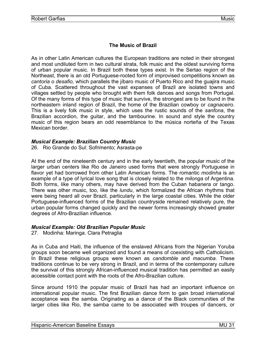## **The Music of Brazil**

<span id="page-33-0"></span>As in other Latin American cultures the European traditions are noted in their strongest and most undiluted form in two cultural strata, folk music and the oldest surviving forms of urban popular music. In Brazil both these types exist. In the Sertao region of the Northeast, there is an old Portuguese-rooted form of improvised competitions known as *cantoria o desafio,* which parallels the jíbaro music of Puerto Rico and the guajira music of Cuba. Scattered throughout the vast expanses of Brazil are isolated towns and villages settled by people who brought with them folk dances and songs from Portugal. Of the many forms of this type of music that survive, the strongest are to be found in the northeastern inland region of Brazil, the home of the Brazilian cowboy or *cagnaceiro*. This is a lively folk music in style, which uses the rustic sounds of the *sanfona*, the Brazilian accordion, the guitar, and the tambourine. In sound and style the country music of this region bears an odd resemblance to the música norteña of the Texas Mexican border.

#### *Musical Example: Brazilian Country Music*

26. Rio Grande do Sul: Sofrimento; Asrasta-pe

At the end of the nineteenth century and in the early twentieth, the popular music of the larger urban centers like Rio de Janeiro used forms that were strongly Portuguese in flavor yet had borrowed from other Latin American forms. The romantic *modinha* is an example of a type of lyrical love song that is closely related to the *milonga* of Argentina. Both forms, like many others, may have derived from the Cuban habanera or tango. There was other music, too, like the *lundu*, which formalized the African rhythms that were being heard all over Brazil, particularly in the large coastal cities. While the older Portuguese-influenced forms of the Brazilian countryside remained relatively pure, the urban popular forms changed quickly and the newer forms increasingly showed greater degrees of Afro-Brazilian influence.

#### *Musical Example: Old Brazilian Popular Music*

27. Modinha: Maringa. Clara Petraglia

As in Cuba and Haiti, the influence of the enslaved Africans from the Nigerian Yoruba groups soon became well organized and found a means of coexisting with Catholicism. In Brazil these religious groups were known as *candomble* and *macumba*. These traditions continue to be very strong in Brazil, and in terms of the contemporary culture the survival of this strongly African-influenced musical tradition has permitted an easily accessible contact point with the roots of the Afro-Brazilian culture.

Since around 1910 the popular music of Brazil has had an important influence on international popular music. The first Brazilian dance form to gain broad international acceptance was the samba. Originating as a dance of the Black communities of the larger cities like Rio, the samba came to be associated with troupes of dancers, or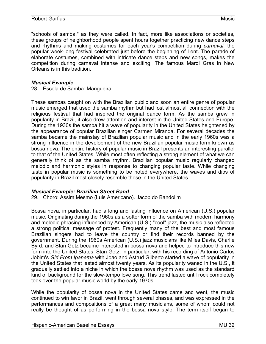"schools of samba," as they were called. In fact, more like associations or societies, these groups of neighborhood people spent hours together practicing new dance steps and rhythms and making costumes for each year's competition during *carnaval*, the popular week-long festival celebrated just before the beginning of Lent. The parade of elaborate costumes, combined with intricate dance steps and new songs, makes the competition during carnaval intense and exciting. The famous Mardi Gras in New Orleans is in this tradition.

#### *Musical Example*

28. Escola de Samba: Mangueira

These sambas caught on with the Brazilian public and soon an entire genre of popular music emerged that used the samba rhythm but had lost almost all connection with the religious festival that had inspired the original dance form. As the samba grew in popularity in Brazil, it also drew attention and interest in the United States and Europe. During the 1930s the samba hit a wave of popularity in the United States heightened by the appearance of popular Brazilian singer Carmen Miranda. For several decades the samba became the mainstay of Brazilian popular music and in the early 1960s was a strong influence in the development of the new Brazilian popular music form known as bossa nova. The entire history of popular music in Brazil presents an interesting parallel to that of the United States. While most often reflecting a strong element of what we can generally think of as the samba rhythm, Brazilian popular music regularly changed melodic and harmonic styles in response to changing popular taste. While changing taste in popular music is something to be noted everywhere, the waves and dips of popularity in Brazil most closely resemble those in the United States.

#### *Musical Example: Brazilian Street Band*

29. Choro: Assim Mesmo (Luis Americano). Jacob do Bandolim

Bossa nova, in particular, had a long and lasting influence on American (U.S.) popular music. Originating during the 1960s as a softer form of the samba with modern harmony and melodic phrasing influenced by American (U.S.) "cool" jazz, the music also reflected a strong political message of protest. Frequently many of the best and most famous Brazilian singers had to leave the country or find their records banned by the government. During the 1960s American (U.S.) jazz musicians like Miles Davis, Charlie Byrd, and Stan Getz became interested in bossa nova and helped to introduce this new form into the United States. Stan Getz, in particular, with his recording of Antonio Carlos Jobim's *Girl From Ipanema* with Joao and Astrud Gilberto started a wave of popularity in the United States that lasted almost twenty years. As its popularity waned in the U.S., it gradually settled into a niche in which the bossa nova rhythm was used as the standard kind of background for the slow-tempo love song. This trend lasted until rock completely took over the popular music world by the early 1970s.

While the popularity of bossa nova in the United States came and went, the music continued to win favor in Brazil, went through several phases, and was expressed in the performances and compositions of a great many musicians, some of whom could not really be thought of as performing in the bossa nova style. The term itself began to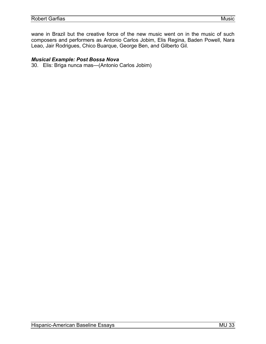wane in Brazil but the creative force of the new music went on in the music of such composers and performers as Antonio Carlos Jobim, Elis Regina, Baden Powell, Nara Leao, Jair Rodrigues, Chico Buarque, George Ben, and Gilberto Gil.

#### *Musical Example: Post Bossa Nova*

30. Elis: Briga nunca mas—(Antonio Carlos Jobim)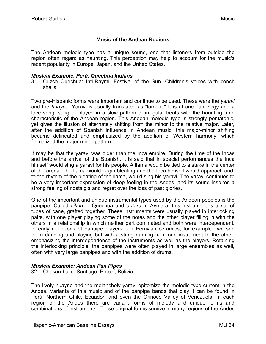## **Music of the Andean Regions**

<span id="page-36-0"></span>The Andean melodic type has a unique sound, one that listeners from outside the region often regard as haunting. This perception may help to account for the music's recent popularity in Europe, Japan, and the United States.

#### *Musical Example: Perú, Quechua Indians*

31. Cuzco Quechua: Inti-Raymi. Festival of the Sun. Children's voices with conch shells.

Two pre-Hispanic forms were important and continue to be used. These were the *yaravi* and the *huayno*. Yaravi is usually translated as "lament." It is at once an elegy and a love song, sung or played in a slow pattern of irregular beats with the haunting tune characteristic of the Andean region. This Andean melodic type is strongly pentatonic, yet gives the illusion of alternately shifting from the minor to the relative major. Later, after the addition of Spanish influence in Andean music, this major-minor shifting became delineated and emphasized by the addition of Western harmony, which formalized the major-minor pattern.

It may be that the yaravi was older than the Inca empire. During the time of the Incas and before the arrival of the Spanish, it is said that in special performances the Inca himself would sing a yaravi for his people. A llama would be tied to a stake in the center of the arena. The llama would begin bleating and the Inca himself would approach and, to the rhythm of the bleating of the llama, would sing his yaravi. The yaravi continues to be a very important expression of deep feeling in the Andes, and its sound inspires a strong feeling of nostalgia and regret over the loss of past glories.

One of the important and unique instrumental types used by the Andean peoples is the panpipe. Called *sikuri* in Quechua and *antara* in Aymara, this instrument is a set of tubes of cane, grafted together. These instruments were usually played in interlocking pairs, with one player playing some of the notes and the other player filling in with the others in a relationship in which neither part dominated and both were interdependent. In early depictions of panpipe players—on Peruvian ceramics, for example—we see them dancing and playing but with a string running from one instrument to the other, emphasizing the interdependence of the instruments as well as the players. Retaining the interlocking principle, the panpipes were often played in large ensembles as well, often with very large panpipes and with the addition of drums.

#### *Musical Example: Andean Pan Pipes*

32. Chukarubaile. Santiago, Potosí, Bolivia

The lively huayno and the melancholy yaravi epitomize the melodic type current in the Andes. Variants of this music and of the panpipe bands that play it can be found in Perú, Northern Chile, Ecuador, and even the Orinoco Valley of Venezuela. In each region of the Andes there are variant forms of melody and unique forms and combinations of instruments. These original forms survive in many regions of the Andes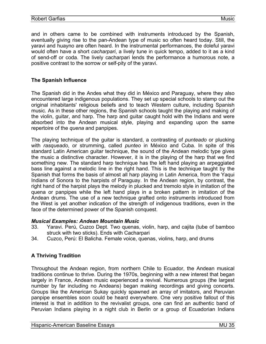<span id="page-37-0"></span>and in others came to be combined with instruments introduced by the Spanish, eventually giving rise to the pan-Andean type of music so often heard today. Still, the yaravi and huayno are often heard. In the instrumental performances, the doleful yaravi would often have a short *cacharpari*, a lively tune in quick tempo, added to it as a kind of send-off or coda. The lively cacharpari lends the performance a humorous note, a positive contrast to the sorrow or self-pity of the yaravi.

#### **The Spanish Influence**

The Spanish did in the Andes what they did in México and Paraguay, where they also encountered large indigenous populations. They set up special schools to stamp out the original inhabitants' religious beliefs and to teach Western culture, including Spanish music. As in these other regions, the Spanish schools taught the playing and making of the violin, guitar, and harp. The harp and guitar caught hold with the Indians and were absorbed into the Andean musical style, playing and expanding upon the same repertoire of the *quena* and panpipes.

The playing technique of the guitar is standard, a contrasting of *punteado* or plucking with *rasqueado*, or strumming, called *punteo* in México and Cuba. In spite of this standard Latin American guitar technique, the sound of the Andean melodic type gives the music a distinctive character. However, it is in the playing of the harp that we find something new. The standard harp technique has the left hand playing an arpeggiated bass line against a melodic line in the right hand. This is the technique taught by the Spanish that forms the basis of almost all harp playing in Latin America, from the Yaqui Indians of Sonora to the harpists of Paraguay. In the Andean region, by contrast, the right hand of the harpist plays the melody in plucked and tremolo style in imitation of the quena or panpipes while the left hand plays in a broken pattern in imitation of the Andean drums. The use of a new technique grafted onto instruments introduced from the West is yet another indication of the strength of indigenous traditions, even in the face of the determined power of the Spanish conquest.

#### *Musical Examples: Andean Mountain Music*

- 33. Yaravi. Perú, Cuzco Dept. Two quenas, violin, harp, and cajita (tube of bamboo struck with two sticks). Ends with Cacharpari
- 34. Cuzco, Perú: El Balicha. Female voice, quenas, violins, harp, and drums

#### **A Thriving Tradition**

Throughout the Andean region, from northern Chile to Ecuador, the Andean musical traditions continue to thrive. During the 1970s, beginning with a new interest that began largely in France, Andean music experienced a revival. Numerous groups (the largest number by far including no Andeans) began making recordings and giving concerts. Groups like the American Sukay quickly spawned an array of imitators, and Peruvian panpipe ensembles soon could be heard everywhere. One very positive fallout of this interest is that in addition to the revivalist groups, one can find an authentic band of Peruvian Indians playing in a night club in Berlin or a group of Ecuadorian Indians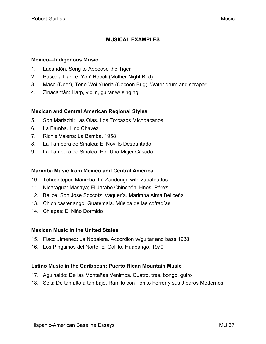## **MUSICAL EXAMPLES**

#### <span id="page-39-0"></span>**México—Indigenous Music**

- 1. Lacandón. Song to Appease the Tiger
- 2. Pascola Dance. Yoh' Hopoli (Mother Night Bird)
- 3. Maso (Deer), Tene Woi Yueria (Cocoon Bug). Water drum and scraper
- 4. Zinacantán: Harp, violin, guitar w/ singing

#### **Mexican and Central American Regional Styles**

- 5. Son Mariachi: Las Olas. Los Torcazos Michoacanos
- 6. La Bamba. Lino Chavez
- 7. Richie Valens: La Bamba. 1958
- 8. La Tambora de Sinaloa: El Novillo Despuntado
- 9. La Tambora de Sinaloa: Por Una Mujer Casada

#### **Marimba Music from México and Central America**

- 10. Tehuantepec Marimba: La Zandunga with zapateados
- 11. Nicaragua: Masaya; El Jarabe Chinchón. Hnos. Pérez
- 12. Belize, Son Jose Soccotz :Vaquería. Marimba Alma Beliceña
- 13. Chichicastenango, Guatemala. Música de las cofradías
- 14. Chiapas: El Niño Dormido

#### **Mexican Music in the United States**

- 15. Flaco Jimenez: La Nopalera. Accordion w/guitar and bass 1938
- 16. Los Pinguinos del Norte: El Gallito. Huapango. 1970

#### **Latino Music in the Caribbean: Puerto Rican Mountain Music**

- 17. Aguinaldo: De las Montañas Venimos. Cuatro, tres, bongo, guiro
- 18. Seis: De tan alto a tan bajo. Ramito con Tonito Ferrer y sus Jíbaros Modernos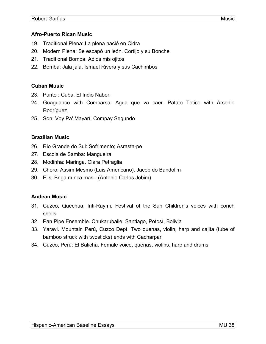#### <span id="page-40-0"></span>**Afro-Puerto Rican Music**

- 19. Traditional Plena: La plena nació en Cidra
- 20. Modern Plena: Se escapó un león. Cortijo y su Bonche
- 21. Traditional Bomba. Adios mis ojitos
- 22. Bomba: Jala jala. Ismael Rivera y sus Cachimbos

#### **Cuban Music**

- 23. Punto : Cuba. El Indio Nabori
- 24. Guaguanco with Comparsa: Agua que va caer. Patato Totico with Arsenio Rodríguez
- 25. Son: Voy Pa' Mayarí. Compay Segundo

#### **Brazilian Music**

- 26. Rio Grande do Sul: Sofrimento; Asrasta-pe
- 27. Escola de Samba: Mangueira
- 28. Modinha: Maringa. Clara Petraglia
- 29. Choro: Assim Mesmo (Luis Americano). Jacob do Bandolim
- 30. Elis: Briga nunca mas (Antonio Carlos Jobim)

#### **Andean Music**

- 31. Cuzco, Quechua: Inti-Raymi. Festival of the Sun Children's voices with conch shells
- 32. Pan Pipe Ensemble. Chukarubaile. Santiago, Potosí, Bolivia
- 33. Yaravi. Mountain Perú, Cuzco Dept. Two quenas, violin, harp and cajita (tube of bamboo struck with twosticks) ends with Cacharpari
- 34. Cuzco, Perú: El Balicha. Female voice, quenas, violins, harp and drums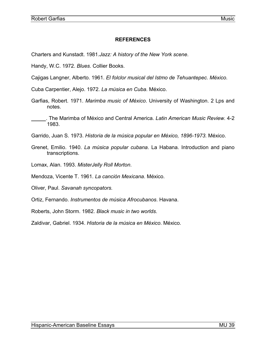## **REFERENCES**

<span id="page-41-0"></span>Charters and Kunstadt. 1981.*Jazz: A history of the New York scene*.

Handy, W.C. 1972. *Blues*. Collier Books.

Cajigas Langner, Alberto. 1961. *El folclor musical del Istmo de Tehuantepec. México*.

Cuba Carpentier, Alejo. 1972. *La música en Cuba*. México.

Garfias, Robert. 1971. *Marimba music of México*. University of Washington. 2 Lps and notes.

 . The Marimba of México and Central America. *Latin American Music Review*. 4-2 1983.

Garrido, Juan S. 1973. *Historia de la música popular en México, 1896-1973.* México.

- Grenet, Emilio. 1940. *La música popular cubana*. La Habana. Introduction and piano transcriptions.
- Lomax, Alan. 1993. *MisterJelly Roll Morton*.
- Mendoza, Vicente T. 1961. *La canción Mexicana*. México.
- Oliver, Paul. *Savanah syncopators.*
- Ortiz, Fernando. *Instrumentos de música Afrocubanos*. Havana.

Roberts, John Storm. 1982. *Black music in two worlds*.

Zaldivar, Gabriel. 1934. *Historia de la música en México*. México.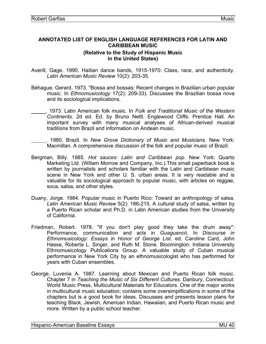#### <span id="page-42-0"></span>**ANNOTATED LIST OF ENGLISH LANGUAGE REFERENCES FOR LATIN AND CARIBBEAN MUSIC (Relative to the Study of Hispanic Music in the United States)**

- Averill, Gage. 1990. Haitian dance bands, 1915-1970: Class, race, and authenticity. *Latin American Music Review* 10(2): 203-35.
- Béhague, Gerard. 1973. "Bossa and bossas: Recent changes in Brazilian urban popular music. In *Ethnomusicology* 17(2): 209-33). Discusses the Brazilian bossa nova and its sociological implications.
	- . 1973. Latin American folk music. In *Folk and Traditional Music of the Western Continents*. 2d ed. Ed. by Bruno Nettl. Englewood Cliffs: Prentice Hall. An important survey with many musical analyses of African-derived musical traditions from Brazil and information on Andean music.
		- . 1980. Brazil. In *New Grove Dictionary of Music and Musicians*. New York: Macmillan. A comprehensive discussion of the folk and popular music of Brazil.
- Bergman, Billy. 1985. *Hot sauces: Latin and Caribbean pop*. New York: Quarto Marketing Ltd. (Willam Morrow and Company, Inc.).This small paperback book is written by journalists and scholars familiar with the Latin and Caribbean music scene in New York and other U. S. urban areas. It is very readable and is valuable for its sociological approach to popular music, with articles on reggae, soca, salsa, and other styles.
- Duany, Jorge. 1984. Popular music in Puerto Rico: Toward an anthropology of salsa. *Latin American Music Review* 5(2): 186-215. A cultural study of salsa, written by a Puerto Rican scholar and Ph.D. in Latin American studies from the University of California.
- Friedman, Robert. 1978. "If you don't play good they take the drum away": Performance, communication and acts in *Guaguancó*. In *Discourse in Ethnomusicology: Essays in Honor of George List.* ed. Caroline Card, John Hasse, Roberta L. Singer, and Ruth M. Stone. Bloomington: Indiana University Ethnomusicology Publications Group. A valuable study of Cuban musical performance in New York City by an ethnomusicologist who has performed for years with Cuban ensembles.
- George, Luvenia A. 1987. Learning about Mexican and Puerto Rican folk music. Chapter 7 in *Teaching the Music of Six Different Cultures*. Danbury, Connecticut: World Music Press, Multicultural Materials for Educators. One of the major works in multicultural music education; contains some oversimplifications in some of the chapters but is a good book for ideas. Discusses and presents lesson plans for teaching Black, Jewish, American Indian, Hawaiian, and Puerto Rican music and more. Written by a public school teacher.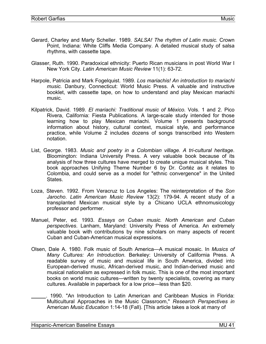- Gerard, Charley and Marty Scheller. 1989. *SALSA! The rhythm of Latin music.* Crown Point, Indiana: White Cliffs Media Company. A detailed musical study of salsa rhythms, with cassette tape.
- Glasser, Ruth. 1990. Paradoxical ethnicity: Puerto Rican musicians in post World War I New York City. *Latin American Music Review* 11(1): 63-72.
- Harpole, Patricia and Mark Fogelquist. 1989. *Los mariachis! An introduction to mariachi music.* Danbury, Connecticut: World Music Press. A valuable and instructive booklet, with cassette tape, on how to understand and play Mexican mariachi music.
- Kilpatrick, David. 1989. *El mariachi: Traditional music of México*. Vols. 1 and 2. Pico Rivera, California: Fiesta Publications. A large-scale study intended for those learning how to play Mexican mariachi. Volume 1 presents background information about history, cultural context, musical style, and performance practice, while Volume 2 includes dozens of songs transcribed into Western notation.
- List, George. 1983. *Music and poetry in a Colombian village. A tri-cultural heritage*. Bloomington: Indiana University Press. A very valuable book because of its analysis of how three cultures have merged to create unique musical styles. This book approaches Unifying Theme Number 6 by Dr. Cortéz as it relates to Colombia, and could serve as a model for "ethnic convergence" in the United States.
- Loza, Steven. 1992. From Veracruz to Los Angeles: The reinterpretation of the *Son Jarocho*. *Latin American Music Review* 13(2): 179-94. A recent study of a transplanted Mexican musical style by a Chicano UCLA ethnomusicology professor and performer.
- Manuel, Peter, ed. 1993. *Essays on Cuban music. North American and Cuban perspectives*. Lanham, Maryland: University Press of America. An extremely valuable book with contributions by nine scholars on many aspects of recent Cuban and Cuban-American musical expressions.
- Olsen, Dale A. 1980. Folk music of South America—A musical mosaic. In *Musics of Many Cultures: An Introduction*. Berkeley: University of California Press. A readable survey of music and musical life in South America, divided into European-derived music, African-derived music, and Indian-derived music and musical nationalism as expressed in folk music. This is one of the most important books on world music cultures—written by twenty specialists, covering as many cultures. Available in paperback for a low price—less than \$20.
- . 1990. "An Introduction to Latin American and Caribbean Musics in Florida: Multicultural Approaches in the Music Classroom," *Research Perspectives in*  American *Music Education* 1:14-18 (Fall). [This article takes a look at many of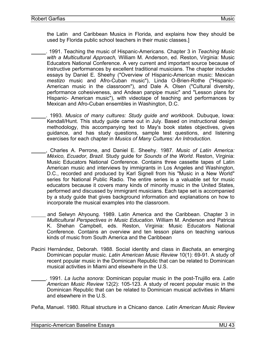the Latin and Caribbean Musics in Florida, and explains how they should be used by Florida public school teachers in their music classes.]

- . 1991. Teaching the music of Hispanic-Americans. Chapter 3 in *Teaching Music with a Multicultural Approach,* William M. Anderson, ed. Reston, Virginia: Music Educators National Conference. A very current and important source because of instructive performances by excellent traditional musicians. The chapter includes essays by Daniel E. Sheehy ("Overview of Hispanic-American music: Mexican *mestizo* music and Afro-Cuban music"), Linda O-Brien-Rothe ("Hispanic-American music in the classroom"), and Dale A. Olsen ("Cultural diversity, performance cohesiveness, and Andean panpipe music" and "Lesson plans for Hispanic- American music"), with videotape of teaching and performances by Mexican and Afro-Cuban ensembles in Washington, D.C.
	- . 1993. *Musics of many cultures: Study guide and workbook*. Dubuque, Iowa: Kendall/Hunt. This study guide came out in July. Based on instructional design methodology, this accompanying text to May's book states objectives, gives guidance, and has study questions, sample test questions, and listening exercises for each chapter in *Musics of Many Cultures: An Introduction*.
	- , Charles A. Perrone, and Daniel E. Sheehy. 1987. *Music of Latin America: México, Ecuador, Brazil.* Study guide for *Sounds of the World*. Reston, Virginia: Music Educators National Conference. Contains three cassette tapes of Latin American music and interviews by immigrants in Los Angeles and Washington, D.C., recorded and produced by Karl Signell from his "Music in a New World" series for National Public Radio. The entire series is a valuable set for music educators because it covers many kinds of minority music in the United States, performed and discussed by immigrant musicians. Each tape set is accompanied by a study guide that gives background information and explanations on how to incorporate the musical examples into the classroom.
- and Selwyn Ahyoung. 1989. Latin America and the Caribbean. Chapter 3 in *Multicultural Perspectives in Music Education*. William M. Anderson and Patricia K. Shehan Campbell, eds. Reston, Virginia: Music Educators National Conference. Contains an overview and ten lesson plans on teaching various kinds of music from South America and the Caribbean
- Pacini Hernández, Deborah. 1988. Social identity and class in *Bachata*, an emerging Dominican popular music. *Latin American Music Review* 10(1): 69-91. A study of recent popular music in the Dominican Republic that can be related to Dominican musical activities in Miami and elsewhere in the U.S.
	- . 1991. *La lucha sonora:* Dominican popular music in the post-Trujillo era*. Latin American Music Review* 12(2): 105-123. A study of recent popular music in the Dominican Republic that can be related to Dominican musical activities in Miami and elsewhere in the U.S.

Peña, Manuel. 1980. Ritual structure in a Chicano dance. *Latin American Music Review*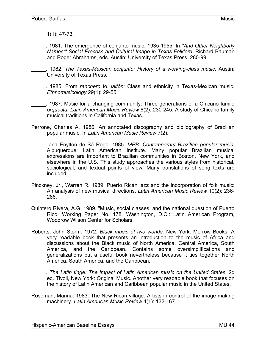1(1): 47-73.

 . 1981. The emergence of conjunto music, 1935-1955. In *"And Other Neighborly Names;" Social Process and Cultural Image in Texas Folklore*, Richard Bauman and Roger Abrahams, eds. Austin: University of Texas Press, 280-99.

 . 1982. *The Texas-Mexican conjunto: History of a working-class music*. Austin: University of Texas Press.

 . 1985. From *ranchero* to *Jaitón*: Class and ethnicity in Texas-Mexican music. *Ethnomusicology* 29(1): 29-55.

 . 1987. Music for a changing community: Three generations of a Chicano familo *orquesta*. *Latin American Music Review* 8(2): 230-245. A study of Chicano family musical traditions in California and Texas.

- Perrone, Charles A. 1986. An annotated discography and bibliography of Brazilian popular music. In *Latin American Music Review* 7(2).
- and Enylton de Sá Rego. 1985. *MPB: Contemporary Brazilian popular music*. Albuquerque: Latin American Institute. Many popular Brazilian musical expressions are important to Brazilian communities in Boston, New York, and elsewhere in the U.S. This study approaches the various styles from historical, sociological, and textual points of view. Many translations of song texts are included.
- Pinckney, Jr., Warren R. 1989. Puerto Rican jazz and the incorporation of folk music: An analysis of new musical directions. *Latin American Music Review* 10(2): 236- 266.
- Quintero Rivera, A.G. 1989. "Music, social classes, and the national question of Puerto Rico. Working Paper No. 178. Washington, D.C.: Latin American Program, Woodrow Wilson Center for Scholars.
- Roberts, John Storm. 1972. *Black music of two worlds*. New York: Morrow Books. A very readable book that presents an introduction to the music of Africa and discussions about the Black music of North America, Central America, South America, and the Caribbean. Contains some oversimplifications and generalizations but a useful book nevertheless because it ties together North America, South America, and the Caribbean.

 . *The Latin tinge: The impact of Latin American music on the United States.* 2d ed. Tivoli, New York: Original Music. Another very readable book that focuses on the history of Latin American and Caribbean popular music in the United States.

Roseman, Marina. 1983. The New Rican village: Artists in control of the image-making machinery. *Latin American Music Review* 4(1): 132-167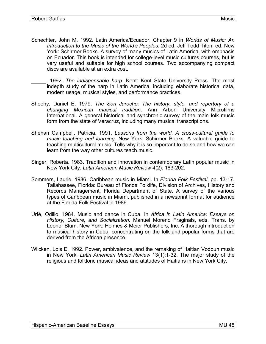- Schechter, John M. 1992. Latin America/Ecuador, Chapter 9 in *Worlds of Music: An Introduction to the Music of the World's Peoples*. 2d ed. Jeff Todd Titon, ed. New York: Schirmer Books. A survey of many musics of Latin America, with emphasis on Ecuador. This book is intended for college-level music cultures courses, but is very useful and suitable for high school courses. Two accompanying compact discs are available at an extra cost.
	- . 1992. *The indispensable harp*. Kent: Kent State University Press. The most indepth study of the harp in Latin America, including elaborate historical data, modern usage, musical styles, and performance practices.
- Sheehy, Daniel E. 1979. *The Son Jarocho: The history, style, and repertory of a changing Mexican musical tradition*. Ann Arbor: University Microfilms International. A general historical and synchronic survey of the main folk music form from the state of Veracruz, including many musical transcriptions.
- Shehan Campbell, Patricia. 1991. *Lessons from the world. A cross-cultural guide to music teaching and learning.* New York: Schirmer Books. A valuable guide to teaching multicultural music. Tells why it is so important to do so and how we can learn from the way other cultures teach music.
- Singer, Roberta. 1983. Tradition and innovation in contemporary Latin popular music in New York City. *Latin American Music Review* 4(2): 183-202.
- Sommers, Laurie. 1986. Caribbean music in Miami. In *Florida Folk Festival,* pp. 13-17. Tallahassee, Florida: Bureau of Florida Folklife, Division of Archives, History and Records Management, Florida Department of State. A survey of the various types of Caribbean music in Miami, published in a newsprint format for audience at the Florida Folk Festival in 1986.
- Urfé, Odilio. 1984. Music and dance in Cuba. In *Africa in Latin America: Essays on History, Culture, and Socialization.* Manuel Moreno Fraginals, eds. Trans. by Leonor Blum. New York: Holmes & Meier Publishers, Inc. A thorough introduction to musical history in Cuba, concentrating on the folk and popular forms that are derived from the African presence.
- Wilcken, Lois E. 1992. Power, ambivalence, and the remaking of Haitian Vodoun music in New York. *Latin American Music Review* 13(1):1-32. The major study of the religious and folkloric musical ideas and attitudes of Haitians in New York City.